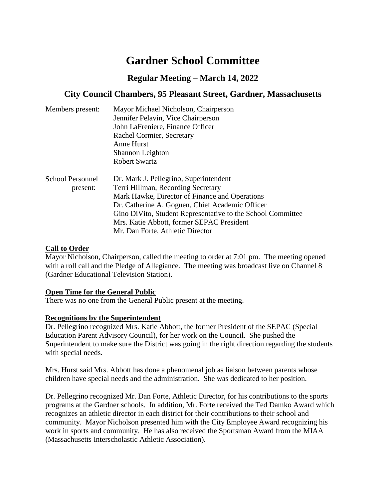# **Gardner School Committee**

# **Regular Meeting – March 14, 2022**

# **City Council Chambers, 95 Pleasant Street, Gardner, Massachusetts**

| Members present:        | Mayor Michael Nicholson, Chairperson                                                                |  |  |
|-------------------------|-----------------------------------------------------------------------------------------------------|--|--|
|                         | Jennifer Pelavin, Vice Chairperson<br>John LaFreniere, Finance Officer<br>Rachel Cormier, Secretary |  |  |
|                         |                                                                                                     |  |  |
|                         |                                                                                                     |  |  |
|                         | Anne Hurst                                                                                          |  |  |
|                         | Shannon Leighton                                                                                    |  |  |
|                         | <b>Robert Swartz</b>                                                                                |  |  |
| <b>School Personnel</b> | Dr. Mark J. Pellegrino, Superintendent                                                              |  |  |
| present:                | Terri Hillman, Recording Secretary                                                                  |  |  |
|                         | Mark Hawke, Director of Finance and Operations                                                      |  |  |
|                         | Dr. Catherine A. Goguen, Chief Academic Officer                                                     |  |  |
|                         | Gino DiVito, Student Representative to the School Committee                                         |  |  |
|                         | Mrs. Katie Abbott, former SEPAC President                                                           |  |  |
|                         | Mr. Dan Forte, Athletic Director                                                                    |  |  |

## **Call to Order**

Mayor Nicholson, Chairperson, called the meeting to order at 7:01 pm. The meeting opened with a roll call and the Pledge of Allegiance. The meeting was broadcast live on Channel 8 (Gardner Educational Television Station).

#### **Open Time for the General Public**

There was no one from the General Public present at the meeting.

#### **Recognitions by the Superintendent**

Dr. Pellegrino recognized Mrs. Katie Abbott, the former President of the SEPAC (Special Education Parent Advisory Council), for her work on the Council. She pushed the Superintendent to make sure the District was going in the right direction regarding the students with special needs.

Mrs. Hurst said Mrs. Abbott has done a phenomenal job as liaison between parents whose children have special needs and the administration. She was dedicated to her position.

Dr. Pellegrino recognized Mr. Dan Forte, Athletic Director, for his contributions to the sports programs at the Gardner schools. In addition, Mr. Forte received the Ted Damko Award which recognizes an athletic director in each district for their contributions to their school and community. Mayor Nicholson presented him with the City Employee Award recognizing his work in sports and community. He has also received the Sportsman Award from the MIAA (Massachusetts Interscholastic Athletic Association).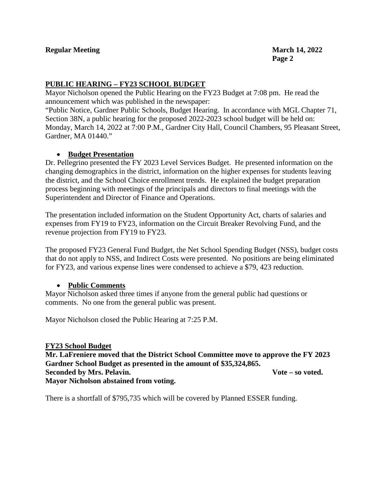## **PUBLIC HEARING – FY23 SCHOOL BUDGET**

Mayor Nicholson opened the Public Hearing on the FY23 Budget at 7:08 pm. He read the announcement which was published in the newspaper:

"Public Notice, Gardner Public Schools, Budget Hearing. In accordance with MGL Chapter 71, Section 38N, a public hearing for the proposed 2022-2023 school budget will be held on: Monday, March 14, 2022 at 7:00 P.M., Gardner City Hall, Council Chambers, 95 Pleasant Street, Gardner, MA 01440."

#### • **Budget Presentation**

Dr. Pellegrino presented the FY 2023 Level Services Budget. He presented information on the changing demographics in the district, information on the higher expenses for students leaving the district, and the School Choice enrollment trends. He explained the budget preparation process beginning with meetings of the principals and directors to final meetings with the Superintendent and Director of Finance and Operations.

The presentation included information on the Student Opportunity Act, charts of salaries and expenses from FY19 to FY23, information on the Circuit Breaker Revolving Fund, and the revenue projection from FY19 to FY23.

The proposed FY23 General Fund Budget, the Net School Spending Budget (NSS), budget costs that do not apply to NSS, and Indirect Costs were presented. No positions are being eliminated for FY23, and various expense lines were condensed to achieve a \$79, 423 reduction.

#### • **Public Comments**

Mayor Nicholson asked three times if anyone from the general public had questions or comments. No one from the general public was present.

Mayor Nicholson closed the Public Hearing at 7:25 P.M.

#### **FY23 School Budget**

**Mr. LaFreniere moved that the District School Committee move to approve the FY 2023 Gardner School Budget as presented in the amount of \$35,324,865. Seconded by Mrs. Pelavin. Vote – so voted. Mayor Nicholson abstained from voting.**

There is a shortfall of \$795,735 which will be covered by Planned ESSER funding.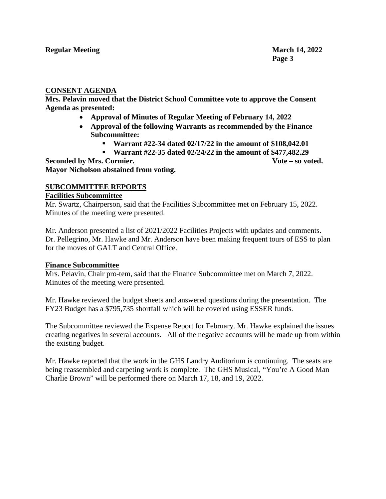#### **CONSENT AGENDA**

**Mrs. Pelavin moved that the District School Committee vote to approve the Consent Agenda as presented:**

- **Approval of Minutes of Regular Meeting of February 14, 2022**
- **Approval of the following Warrants as recommended by the Finance Subcommittee:**
	- **Warrant #22-34 dated 02/17/22 in the amount of \$108,042.01**
	- **Warrant #22-35 dated 02/24/22 in the amount of \$477,482.29**

**Seconded by Mrs. Cormier. Vote – so voted. Mayor Nicholson abstained from voting.**

#### **SUBCOMMITTEE REPORTS**

#### **Facilities Subcommittee**

Mr. Swartz, Chairperson, said that the Facilities Subcommittee met on February 15, 2022. Minutes of the meeting were presented.

Mr. Anderson presented a list of 2021/2022 Facilities Projects with updates and comments. Dr. Pellegrino, Mr. Hawke and Mr. Anderson have been making frequent tours of ESS to plan for the moves of GALT and Central Office.

#### **Finance Subcommittee**

Mrs. Pelavin, Chair pro-tem, said that the Finance Subcommittee met on March 7, 2022. Minutes of the meeting were presented.

Mr. Hawke reviewed the budget sheets and answered questions during the presentation. The FY23 Budget has a \$795,735 shortfall which will be covered using ESSER funds.

The Subcommittee reviewed the Expense Report for February. Mr. Hawke explained the issues creating negatives in several accounts. All of the negative accounts will be made up from within the existing budget.

Mr. Hawke reported that the work in the GHS Landry Auditorium is continuing. The seats are being reassembled and carpeting work is complete. The GHS Musical, "You're A Good Man Charlie Brown" will be performed there on March 17, 18, and 19, 2022.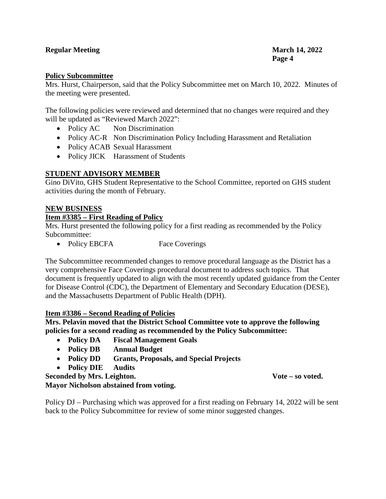## **Regular Meeting March 14, 2022**

#### **Policy Subcommittee**

Mrs. Hurst, Chairperson, said that the Policy Subcommittee met on March 10, 2022. Minutes of the meeting were presented.

The following policies were reviewed and determined that no changes were required and they will be updated as "Reviewed March 2022":

- Policy AC Non Discrimination
- Policy AC-R Non Discrimination Policy Including Harassment and Retaliation
- Policy ACAB Sexual Harassment
- Policy JICK Harassment of Students

#### **STUDENT ADVISORY MEMBER**

Gino DiVito, GHS Student Representative to the School Committee, reported on GHS student activities during the month of February.

#### **NEW BUSINESS**

#### **Item #3385 – First Reading of Policy**

Mrs. Hurst presented the following policy for a first reading as recommended by the Policy Subcommittee:

• Policy EBCFA Face Coverings

The Subcommittee recommended changes to remove procedural language as the District has a very comprehensive Face Coverings procedural document to address such topics. That document is frequently updated to align with the most recently updated guidance from the Center for Disease Control (CDC), the Department of Elementary and Secondary Education (DESE), and the Massachusetts Department of Public Health (DPH).

#### **Item #3386 – Second Reading of Policies**

**Mrs. Pelavin moved that the District School Committee vote to approve the following policies for a second reading as recommended by the Policy Subcommittee:**

- **Policy DA Fiscal Management Goals**
- **Policy DB Annual Budget**
- **Policy DD Grants, Proposals, and Special Projects**
- **Policy DIE Audits**

**Seconded by Mrs. Leighton. Vote – so voted.**

**Mayor Nicholson abstained from voting.**

Policy DJ – Purchasing which was approved for a first reading on February 14, 2022 will be sent back to the Policy Subcommittee for review of some minor suggested changes.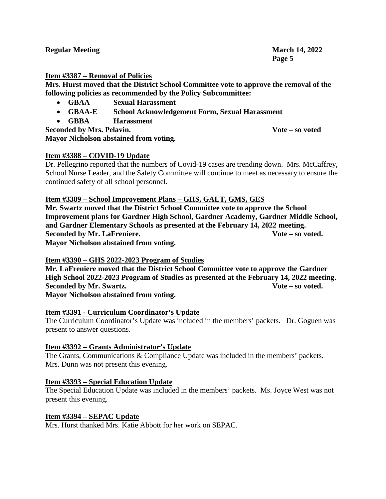| <b>Regular Meeting</b> | <b>March 14, 2022</b> |
|------------------------|-----------------------|
|                        | Page 5                |

### **Item #3387 – Removal of Policies**

**Mrs. Hurst moved that the District School Committee vote to approve the removal of the following policies as recommended by the Policy Subcommittee:**

- **GBAA Sexual Harassment**
- **GBAA-E School Acknowledgement Form, Sexual Harassment**
- **GBBA Harassment**

**Seconded by Mrs. Pelavin. Vote – so voted Mayor Nicholson abstained from voting.**

## **Item #3388 – COVID-19 Update**

Dr. Pellegrino reported that the numbers of Covid-19 cases are trending down. Mrs. McCaffrey, School Nurse Leader, and the Safety Committee will continue to meet as necessary to ensure the continued safety of all school personnel.

## **Item #3389 – School Improvement Plans – GHS, GALT, GMS, GES**

**Mr. Swartz moved that the District School Committee vote to approve the School Improvement plans for Gardner High School, Gardner Academy, Gardner Middle School, and Gardner Elementary Schools as presented at the February 14, 2022 meeting. Seconded by Mr. LaFreniere. Vote –** so voted.

**Mayor Nicholson abstained from voting.**

## **Item #3390 – GHS 2022-2023 Program of Studies**

**Mr. LaFreniere moved that the District School Committee vote to approve the Gardner High School 2022-2023 Program of Studies as presented at the February 14, 2022 meeting. Seconded by Mr. Swartz. Vote – so voted. Mayor Nicholson abstained from voting.**

#### **Item #3391 - Curriculum Coordinator's Update**

The Curriculum Coordinator's Update was included in the members' packets. Dr. Goguen was present to answer questions.

#### **Item #3392 – Grants Administrator's Update**

The Grants, Communications & Compliance Update was included in the members' packets. Mrs. Dunn was not present this evening.

#### **Item #3393 – Special Education Update**

The Special Education Update was included in the members' packets. Ms. Joyce West was not present this evening.

#### **Item #3394 – SEPAC Update**

Mrs. Hurst thanked Mrs. Katie Abbott for her work on SEPAC.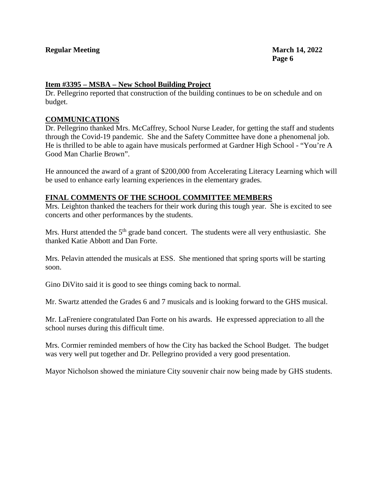#### **Item #3395 – MSBA – New School Building Project**

Dr. Pellegrino reported that construction of the building continues to be on schedule and on budget.

#### **COMMUNICATIONS**

Dr. Pellegrino thanked Mrs. McCaffrey, School Nurse Leader, for getting the staff and students through the Covid-19 pandemic. She and the Safety Committee have done a phenomenal job. He is thrilled to be able to again have musicals performed at Gardner High School - "You're A Good Man Charlie Brown".

He announced the award of a grant of \$200,000 from Accelerating Literacy Learning which will be used to enhance early learning experiences in the elementary grades.

#### **FINAL COMMENTS OF THE SCHOOL COMMITTEE MEMBERS**

Mrs. Leighton thanked the teachers for their work during this tough year. She is excited to see concerts and other performances by the students.

Mrs. Hurst attended the  $5<sup>th</sup>$  grade band concert. The students were all very enthusiastic. She thanked Katie Abbott and Dan Forte.

Mrs. Pelavin attended the musicals at ESS. She mentioned that spring sports will be starting soon.

Gino DiVito said it is good to see things coming back to normal.

Mr. Swartz attended the Grades 6 and 7 musicals and is looking forward to the GHS musical.

Mr. LaFreniere congratulated Dan Forte on his awards. He expressed appreciation to all the school nurses during this difficult time.

Mrs. Cormier reminded members of how the City has backed the School Budget. The budget was very well put together and Dr. Pellegrino provided a very good presentation.

Mayor Nicholson showed the miniature City souvenir chair now being made by GHS students.